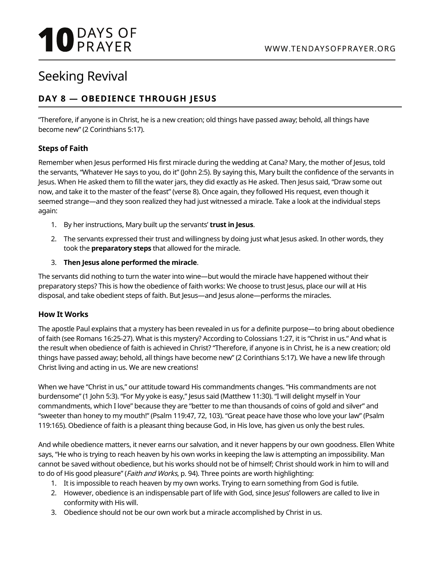# **10 DAYS OF**

## Seeking Revival

### **DAY 8 — OBEDIENCE THROUGH JESUS**

"Therefore, if anyone is in Christ, he is a new creation; old things have passed away; behold, all things have become new" (2 Corinthians 5:17).

#### **Steps of Faith**

Remember when Jesus performed His first miracle during the wedding at Cana? Mary, the mother of Jesus, told the servants, "Whatever He says to you, do it" (John 2:5). By saying this, Mary built the confidence of the servants in Jesus. When He asked them to fill the water jars, they did exactly as He asked. Then Jesus said, "Draw some out now, and take it to the master of the feast" (verse 8). Once again, they followed His request, even though it seemed strange—and they soon realized they had just witnessed a miracle. Take a look at the individual steps again:

- 1. By her instructions, Mary built up the servants' **trust in Jesus**.
- 2. The servants expressed their trust and willingness by doing just what Jesus asked. In other words, they took the **preparatory steps** that allowed for the miracle.
- 3. **Then Jesus alone performed the miracle**.

The servants did nothing to turn the water into wine—but would the miracle have happened without their preparatory steps? This is how the obedience of faith works: We choose to trust Jesus, place our will at His disposal, and take obedient steps of faith. But Jesus—and Jesus alone—performs the miracles.

#### **How It Works**

The apostle Paul explains that a mystery has been revealed in us for a definite purpose—to bring about obedience of faith (see Romans 16:25-27). What is this mystery? According to Colossians 1:27, it is "Christ in us." And what is the result when obedience of faith is achieved in Christ? "Therefore, if anyone is in Christ, he is a new creation; old things have passed away; behold, all things have become new" (2 Corinthians 5:17). We have a new life through Christ living and acting in us. We are new creations!

When we have "Christ in us," our attitude toward His commandments changes. "His commandments are not burdensome" (1 John 5:3). "For My yoke is easy," Jesus said (Matthew 11:30). "I will delight myself in Your commandments, which I love" because they are "better to me than thousands of coins of gold and silver" and "sweeter than honey to my mouth!" (Psalm 119:47, 72, 103). "Great peace have those who love your law" (Psalm 119:165). Obedience of faith is a pleasant thing because God, in His love, has given us only the best rules.

And while obedience matters, it never earns our salvation, and it never happens by our own goodness. Ellen White says, "He who is trying to reach heaven by his own works in keeping the law is attempting an impossibility. Man cannot be saved without obedience, but his works should not be of himself; Christ should work in him to will and to do of His good pleasure" (*Faith and Works*, p. 94). Three points are worth highlighting:

- 1. It is impossible to reach heaven by my own works. Trying to earn something from God is futile.
- 2. However, obedience is an indispensable part of life with God, since Jesus' followers are called to live in conformity with His will.
- 3. Obedience should not be our own work but a miracle accomplished by Christ in us.